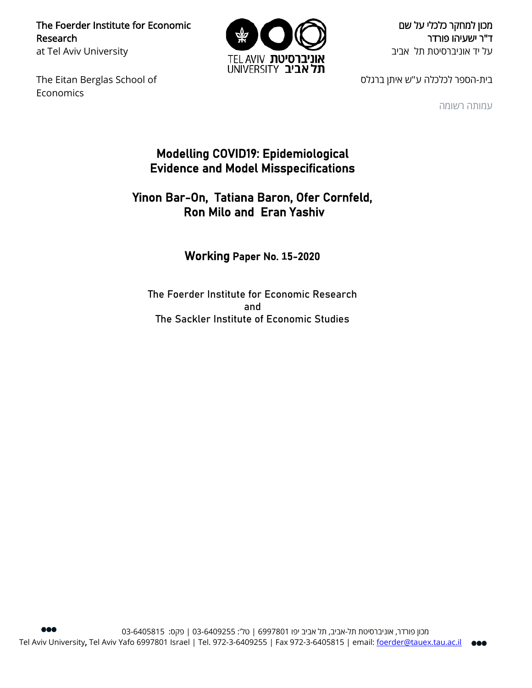The Foerder Institute for Economic Research at Tel Aviv University

The Eitan Berglas School of **Economics** 



מכון למחקר כלכלי על שם ד"ר ישעיהו פורדר על יד אוניברסיטת תל אביב

בית-הספר לכלכלה ע"ש איתן ברגלס

עמותה רשומה

## Modelling COVID19: Epidemiological Evidence and Model Misspecifications

## Yinon Bar-On, Tatiana Baron, Ofer Cornfeld, Ron Milo and Eran Yashiv

## Working Paper No. **1**5-2020

The Foerder Institute for Economic Research and The Sackler Institute of Economic Studies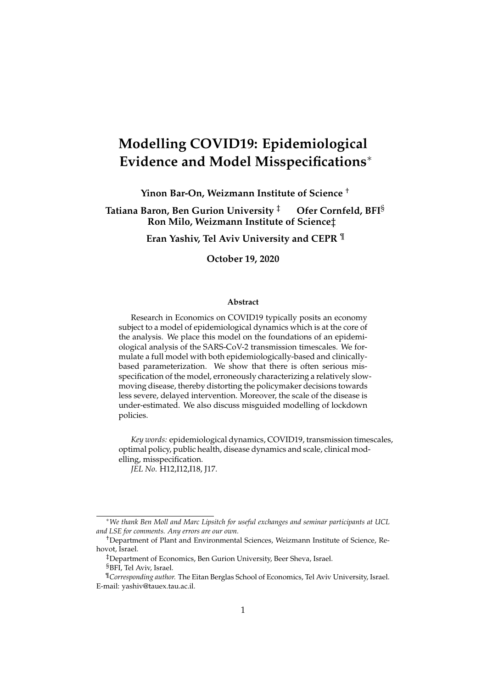# **Modelling COVID19: Epidemiological Evidence and Model Misspecifications**

**Yinon Bar-On, Weizmann Institute of Science** †

**Tatiana Baron, Ben Gurion University** ‡ **Ofer Cornfeld, BFI**§ **Ron Milo, Weizmann Institute of Science**‡

**Eran Yashiv, Tel Aviv University and CEPR** ¶

**October 19, 2020**

#### **Abstract**

Research in Economics on COVID19 typically posits an economy subject to a model of epidemiological dynamics which is at the core of the analysis. We place this model on the foundations of an epidemiological analysis of the SARS-CoV-2 transmission timescales. We formulate a full model with both epidemiologically-based and clinicallybased parameterization. We show that there is often serious misspecification of the model, erroneously characterizing a relatively slowmoving disease, thereby distorting the policymaker decisions towards less severe, delayed intervention. Moreover, the scale of the disease is under-estimated. We also discuss misguided modelling of lockdown policies.

*Key words:* epidemiological dynamics, COVID19, transmission timescales, optimal policy, public health, disease dynamics and scale, clinical modelling, misspecification. *JEL No*. H12,I12,I18, J17.

*We thank Ben Moll and Marc Lipsitch for useful exchanges and seminar participants at UCL and LSE for comments. Any errors are our own.*

<sup>†</sup>Department of Plant and Environmental Sciences, Weizmann Institute of Science, Rehovot, Israel.

<sup>‡</sup>Department of Economics, Ben Gurion University, Beer Sheva, Israel.

<sup>§</sup>BFI, Tel Aviv, Israel.

<sup>¶</sup>*Corresponding author.* The Eitan Berglas School of Economics, Tel Aviv University, Israel. E-mail: yashiv@tauex.tau.ac.il.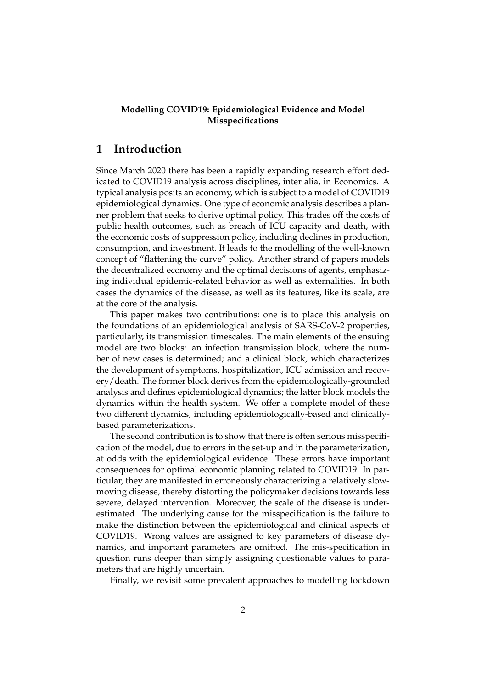#### **Modelling COVID19: Epidemiological Evidence and Model Misspecifications**

## **1 Introduction**

Since March 2020 there has been a rapidly expanding research effort dedicated to COVID19 analysis across disciplines, inter alia, in Economics. A typical analysis posits an economy, which is subject to a model of COVID19 epidemiological dynamics. One type of economic analysis describes a planner problem that seeks to derive optimal policy. This trades off the costs of public health outcomes, such as breach of ICU capacity and death, with the economic costs of suppression policy, including declines in production, consumption, and investment. It leads to the modelling of the well-known concept of "flattening the curve" policy. Another strand of papers models the decentralized economy and the optimal decisions of agents, emphasizing individual epidemic-related behavior as well as externalities. In both cases the dynamics of the disease, as well as its features, like its scale, are at the core of the analysis.

This paper makes two contributions: one is to place this analysis on the foundations of an epidemiological analysis of SARS-CoV-2 properties, particularly, its transmission timescales. The main elements of the ensuing model are two blocks: an infection transmission block, where the number of new cases is determined; and a clinical block, which characterizes the development of symptoms, hospitalization, ICU admission and recovery/death. The former block derives from the epidemiologically-grounded analysis and defines epidemiological dynamics; the latter block models the dynamics within the health system. We offer a complete model of these two different dynamics, including epidemiologically-based and clinicallybased parameterizations.

The second contribution is to show that there is often serious misspecification of the model, due to errors in the set-up and in the parameterization, at odds with the epidemiological evidence. These errors have important consequences for optimal economic planning related to COVID19. In particular, they are manifested in erroneously characterizing a relatively slowmoving disease, thereby distorting the policymaker decisions towards less severe, delayed intervention. Moreover, the scale of the disease is underestimated. The underlying cause for the misspecification is the failure to make the distinction between the epidemiological and clinical aspects of COVID19. Wrong values are assigned to key parameters of disease dynamics, and important parameters are omitted. The mis-specification in question runs deeper than simply assigning questionable values to parameters that are highly uncertain.

Finally, we revisit some prevalent approaches to modelling lockdown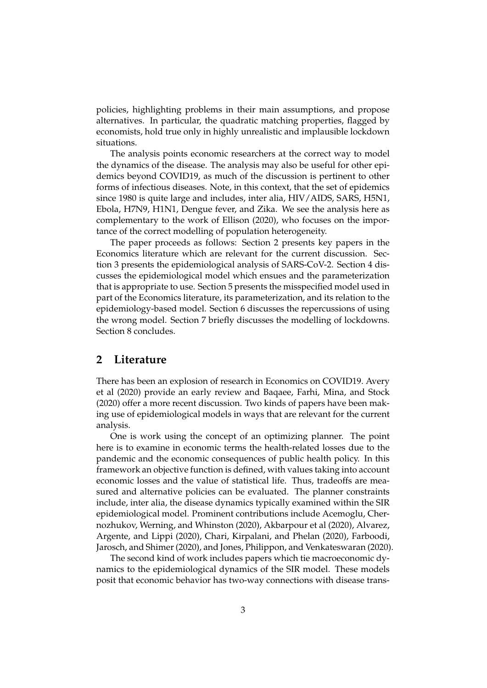policies, highlighting problems in their main assumptions, and propose alternatives. In particular, the quadratic matching properties, flagged by economists, hold true only in highly unrealistic and implausible lockdown situations.

The analysis points economic researchers at the correct way to model the dynamics of the disease. The analysis may also be useful for other epidemics beyond COVID19, as much of the discussion is pertinent to other forms of infectious diseases. Note, in this context, that the set of epidemics since 1980 is quite large and includes, inter alia, HIV/AIDS, SARS, H5N1, Ebola, H7N9, H1N1, Dengue fever, and Zika. We see the analysis here as complementary to the work of Ellison (2020), who focuses on the importance of the correct modelling of population heterogeneity.

The paper proceeds as follows: Section 2 presents key papers in the Economics literature which are relevant for the current discussion. Section 3 presents the epidemiological analysis of SARS-CoV-2. Section 4 discusses the epidemiological model which ensues and the parameterization that is appropriate to use. Section 5 presents the misspecified model used in part of the Economics literature, its parameterization, and its relation to the epidemiology-based model. Section 6 discusses the repercussions of using the wrong model. Section 7 briefly discusses the modelling of lockdowns. Section 8 concludes.

### **2 Literature**

There has been an explosion of research in Economics on COVID19. Avery et al (2020) provide an early review and Baqaee, Farhi, Mina, and Stock (2020) offer a more recent discussion. Two kinds of papers have been making use of epidemiological models in ways that are relevant for the current analysis.

One is work using the concept of an optimizing planner. The point here is to examine in economic terms the health-related losses due to the pandemic and the economic consequences of public health policy. In this framework an objective function is defined, with values taking into account economic losses and the value of statistical life. Thus, tradeoffs are measured and alternative policies can be evaluated. The planner constraints include, inter alia, the disease dynamics typically examined within the SIR epidemiological model. Prominent contributions include Acemoglu, Chernozhukov, Werning, and Whinston (2020), Akbarpour et al (2020), Alvarez, Argente, and Lippi (2020), Chari, Kirpalani, and Phelan (2020), Farboodi, Jarosch, and Shimer (2020), and Jones, Philippon, and Venkateswaran (2020).

The second kind of work includes papers which tie macroeconomic dynamics to the epidemiological dynamics of the SIR model. These models posit that economic behavior has two-way connections with disease trans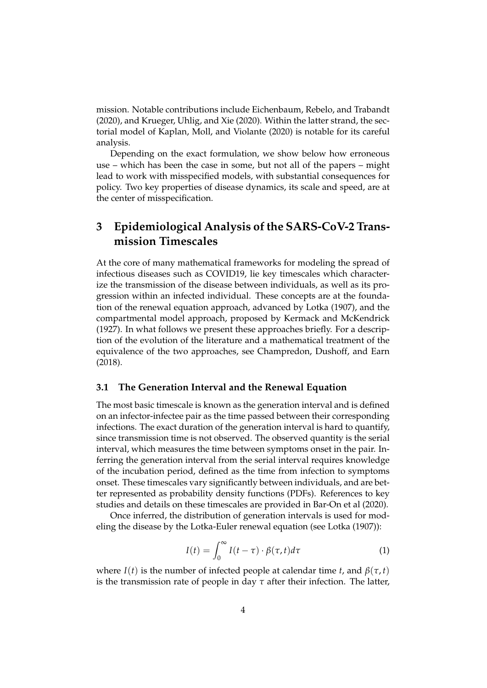mission. Notable contributions include Eichenbaum, Rebelo, and Trabandt (2020), and Krueger, Uhlig, and Xie (2020). Within the latter strand, the sectorial model of Kaplan, Moll, and Violante (2020) is notable for its careful analysis.

Depending on the exact formulation, we show below how erroneous use – which has been the case in some, but not all of the papers – might lead to work with misspecified models, with substantial consequences for policy. Two key properties of disease dynamics, its scale and speed, are at the center of misspecification.

## **3 Epidemiological Analysis of the SARS-CoV-2 Transmission Timescales**

At the core of many mathematical frameworks for modeling the spread of infectious diseases such as COVID19, lie key timescales which characterize the transmission of the disease between individuals, as well as its progression within an infected individual. These concepts are at the foundation of the renewal equation approach, advanced by Lotka (1907), and the compartmental model approach, proposed by Kermack and McKendrick (1927). In what follows we present these approaches briefly. For a description of the evolution of the literature and a mathematical treatment of the equivalence of the two approaches, see Champredon, Dushoff, and Earn (2018).

#### **3.1 The Generation Interval and the Renewal Equation**

The most basic timescale is known as the generation interval and is defined on an infector-infectee pair as the time passed between their corresponding infections. The exact duration of the generation interval is hard to quantify, since transmission time is not observed. The observed quantity is the serial interval, which measures the time between symptoms onset in the pair. Inferring the generation interval from the serial interval requires knowledge of the incubation period, defined as the time from infection to symptoms onset. These timescales vary significantly between individuals, and are better represented as probability density functions (PDFs). References to key studies and details on these timescales are provided in Bar-On et al (2020).

Once inferred, the distribution of generation intervals is used for modeling the disease by the Lotka-Euler renewal equation (see Lotka (1907)):

$$
I(t) = \int_0^\infty I(t-\tau) \cdot \beta(\tau, t) d\tau \tag{1}
$$

where *I*(*t*) is the number of infected people at calendar time *t*, and  $\beta(\tau, t)$ is the transmission rate of people in day  $\tau$  after their infection. The latter,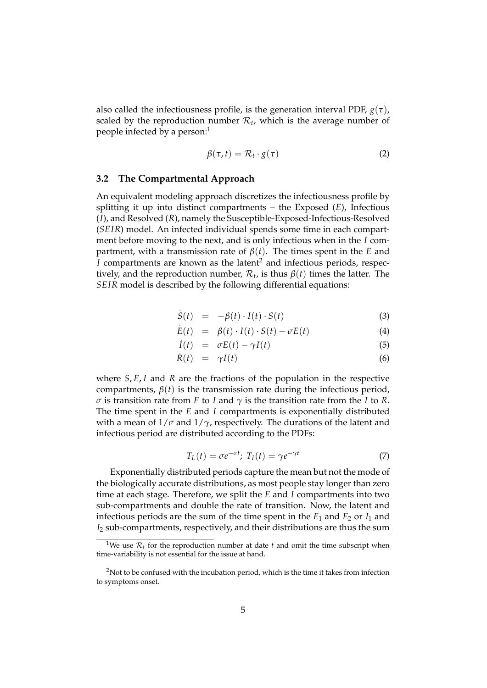also called the infectiousness profile, is the generation interval PDF, *g*(*τ*), scaled by the reproduction number  $\mathcal{R}_t$ , which is the average number of people infected by a person:<sup>1</sup>

$$
\beta(\tau,t) = \mathcal{R}_t \cdot g(\tau) \tag{2}
$$

#### **3.2 The Compartmental Approach**

An equivalent modeling approach discretizes the infectiousness profile by splitting it up into distinct compartments – the Exposed (*E*), Infectious (*I*), and Resolved (*R*), namely the Susceptible-Exposed-Infectious-Resolved (*SEIR*) model. An infected individual spends some time in each compartment before moving to the next, and is only infectious when in the *I* compartment, with a transmission rate of  $\beta(t)$ . The times spent in the *E* and *I* compartments are known as the latent<sup>2</sup> and infectious periods, respectively, and the reproduction number,  $\mathcal{R}_t$ , is thus  $\beta(t)$  times the latter. The *SEIR* model is described by the following differential equations:

$$
\dot{S}(t) = -\beta(t) \cdot I(t) \cdot S(t) \tag{3}
$$

$$
\dot{E}(t) = \beta(t) \cdot I(t) \cdot S(t) - \sigma E(t) \tag{4}
$$

$$
\dot{I}(t) = \sigma E(t) - \gamma I(t) \tag{5}
$$

$$
\dot{R}(t) = \gamma I(t) \tag{6}
$$

where *S*, *E*, *I* and *R* are the fractions of the population in the respective compartments,  $\beta(t)$  is the transmission rate during the infectious period, *σ* is transition rate from *E* to *I* and *γ* is the transition rate from the *I* to *R*. The time spent in the *E* and *I* compartments is exponentially distributed with a mean of  $1/\sigma$  and  $1/\gamma$ , respectively. The durations of the latent and infectious period are distributed according to the PDFs:

$$
T_L(t) = \sigma e^{-\sigma t}; \ T_I(t) = \gamma e^{-\gamma t} \tag{7}
$$

Exponentially distributed periods capture the mean but not the mode of the biologically accurate distributions, as most people stay longer than zero time at each stage. Therefore, we split the *E* and *I* compartments into two sub-compartments and double the rate of transition. Now, the latent and infectious periods are the sum of the time spent in the  $E_1$  and  $E_2$  or  $I_1$  and *I*<sup>2</sup> sub-compartments, respectively, and their distributions are thus the sum

<sup>&</sup>lt;sup>1</sup>We use  $\mathcal{R}_t$  for the reproduction number at date *t* and omit the time subscript when time-variability is not essential for the issue at hand.

<sup>&</sup>lt;sup>2</sup>Not to be confused with the incubation period, which is the time it takes from infection to symptoms onset.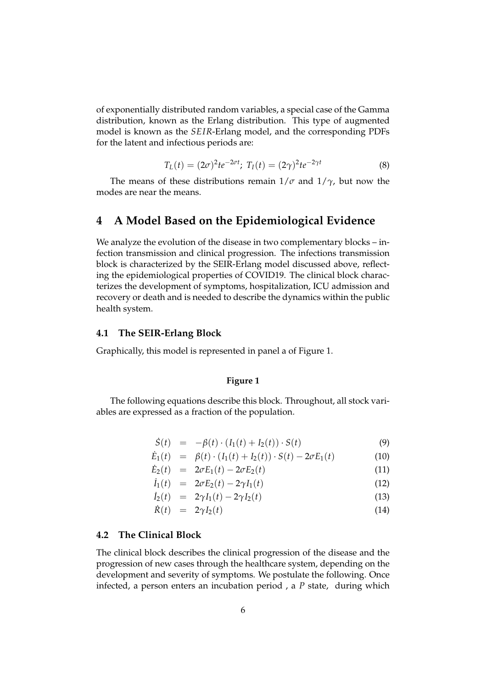of exponentially distributed random variables, a special case of the Gamma distribution, known as the Erlang distribution. This type of augmented model is known as the *SEIR*-Erlang model, and the corresponding PDFs for the latent and infectious periods are:

$$
T_L(t) = (2\sigma)^2 t e^{-2\sigma t}; \ T_I(t) = (2\gamma)^2 t e^{-2\gamma t}
$$
 (8)

The means of these distributions remain  $1/\sigma$  and  $1/\gamma$ , but now the modes are near the means.

## **4 A Model Based on the Epidemiological Evidence**

We analyze the evolution of the disease in two complementary blocks – infection transmission and clinical progression. The infections transmission block is characterized by the SEIR-Erlang model discussed above, reflecting the epidemiological properties of COVID19. The clinical block characterizes the development of symptoms, hospitalization, ICU admission and recovery or death and is needed to describe the dynamics within the public health system.

#### **4.1 The SEIR-Erlang Block**

Graphically, this model is represented in panel a of Figure 1.

#### **Figure 1**

The following equations describe this block. Throughout, all stock variables are expressed as a fraction of the population.

$$
\dot{S}(t) = -\beta(t) \cdot (I_1(t) + I_2(t)) \cdot S(t) \tag{9}
$$

$$
\dot{E}_1(t) = \beta(t) \cdot (I_1(t) + I_2(t)) \cdot S(t) - 2\sigma E_1(t) \tag{10}
$$

$$
\dot{E}_2(t) = 2\sigma E_1(t) - 2\sigma E_2(t) \tag{11}
$$

$$
\dot{I}_1(t) = 2\sigma E_2(t) - 2\gamma I_1(t) \tag{12}
$$

$$
\dot{I}_2(t) = 2\gamma I_1(t) - 2\gamma I_2(t) \tag{13}
$$

$$
\dot{R}(t) = 2\gamma I_2(t) \tag{14}
$$

#### **4.2 The Clinical Block**

The clinical block describes the clinical progression of the disease and the progression of new cases through the healthcare system, depending on the development and severity of symptoms. We postulate the following. Once infected, a person enters an incubation period , a *P* state, during which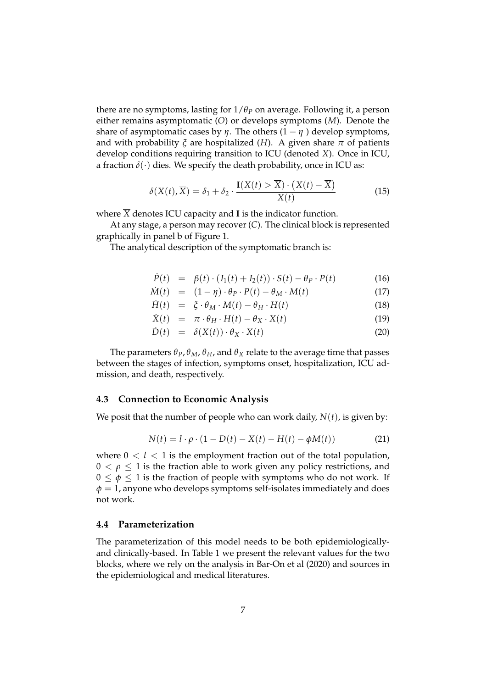there are no symptoms, lasting for  $1/\theta_P$  on average. Following it, a person either remains asymptomatic (*O*) or develops symptoms (*M*). Denote the share of asymptomatic cases by  $\eta$ . The others  $(1 - \eta)$  develop symptoms, and with probability  $\zeta$  are hospitalized (*H*). A given share  $\pi$  of patients develop conditions requiring transition to ICU (denoted *X*). Once in ICU, a fraction  $\delta(\cdot)$  dies. We specify the death probability, once in ICU as:

$$
\delta(X(t), \overline{X}) = \delta_1 + \delta_2 \cdot \frac{\mathbf{I}(X(t) > \overline{X}) \cdot (X(t) - \overline{X})}{X(t)}
$$
(15)

where  $\overline{X}$  denotes ICU capacity and **I** is the indicator function.

At any stage, a person may recover (*C*). The clinical block is represented graphically in panel b of Figure 1.

The analytical description of the symptomatic branch is:

$$
\dot{P}(t) = \beta(t) \cdot (I_1(t) + I_2(t)) \cdot S(t) - \theta_P \cdot P(t) \tag{16}
$$

$$
\dot{M}(t) = (1 - \eta) \cdot \theta_P \cdot P(t) - \theta_M \cdot M(t) \tag{17}
$$

$$
\dot{H}(t) = \xi \cdot \theta_M \cdot M(t) - \theta_H \cdot H(t) \tag{18}
$$

$$
\dot{X}(t) = \pi \cdot \theta_H \cdot H(t) - \theta_X \cdot X(t) \tag{19}
$$

$$
\dot{D}(t) = \delta(X(t)) \cdot \theta_X \cdot X(t) \tag{20}
$$

The parameters  $\theta_P$ ,  $\theta_M$ ,  $\theta_H$ , and  $\theta_X$  relate to the average time that passes between the stages of infection, symptoms onset, hospitalization, ICU admission, and death, respectively.

### **4.3 Connection to Economic Analysis**

We posit that the number of people who can work daily,  $N(t)$ , is given by:

$$
N(t) = l \cdot \rho \cdot (1 - D(t) - X(t) - H(t) - \phi M(t))
$$
 (21)

where  $0 < l < 1$  is the employment fraction out of the total population,  $0 < \rho \leq 1$  is the fraction able to work given any policy restrictions, and  $0 \leq \phi \leq 1$  is the fraction of people with symptoms who do not work. If  $\phi = 1$ , anyone who develops symptoms self-isolates immediately and does not work.

### **4.4 Parameterization**

The parameterization of this model needs to be both epidemiologicallyand clinically-based. In Table 1 we present the relevant values for the two blocks, where we rely on the analysis in Bar-On et al (2020) and sources in the epidemiological and medical literatures.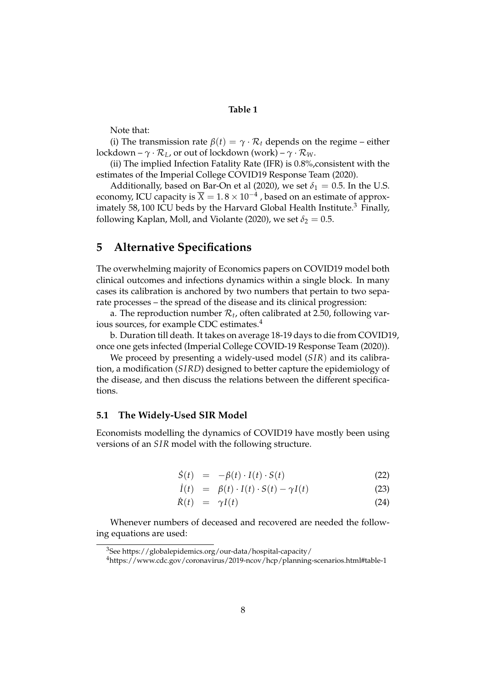#### **Table 1**

Note that:

(i) The transmission rate  $\beta(t) = \gamma \cdot \mathcal{R}_t$  depends on the regime – either lockdown –  $\gamma \cdot \mathcal{R}_L$ , or out of lockdown (work) –  $\gamma \cdot \mathcal{R}_W$ .

(ii) The implied Infection Fatality Rate (IFR) is 0.8%,consistent with the estimates of the Imperial College COVID19 Response Team (2020).

Additionally, based on Bar-On et al (2020), we set  $\delta_1 = 0.5$ . In the U.S. economy, ICU capacity is  $\overline{X} = 1.8 \times 10^{-4}$ , based on an estimate of approximately 58, 100 ICU beds by the Harvard Global Health Institute.<sup>3</sup> Finally, following Kaplan, Moll, and Violante (2020), we set  $\delta_2 = 0.5$ .

## **5 Alternative Specifications**

The overwhelming majority of Economics papers on COVID19 model both clinical outcomes and infections dynamics within a single block. In many cases its calibration is anchored by two numbers that pertain to two separate processes – the spread of the disease and its clinical progression:

a. The reproduction number  $\mathcal{R}_t$ , often calibrated at 2.50, following various sources, for example CDC estimates.<sup>4</sup>

b. Duration till death. It takes on average 18-19 days to die from COVID19, once one gets infected (Imperial College COVID-19 Response Team (2020)).

We proceed by presenting a widely-used model (*SIR*) and its calibration, a modification (*SIRD*) designed to better capture the epidemiology of the disease, and then discuss the relations between the different specifications.

### **5.1 The Widely-Used SIR Model**

Economists modelling the dynamics of COVID19 have mostly been using versions of an *SIR* model with the following structure.

$$
\dot{S}(t) = -\beta(t) \cdot I(t) \cdot S(t) \tag{22}
$$

$$
\dot{I}(t) = \beta(t) \cdot I(t) \cdot S(t) - \gamma I(t) \tag{23}
$$

$$
\dot{R}(t) = \gamma I(t) \tag{24}
$$

Whenever numbers of deceased and recovered are needed the following equations are used:

<sup>3</sup>See https://globalepidemics.org/our-data/hospital-capacity/

<sup>4</sup>https://www.cdc.gov/coronavirus/2019-ncov/hcp/planning-scenarios.html#table-1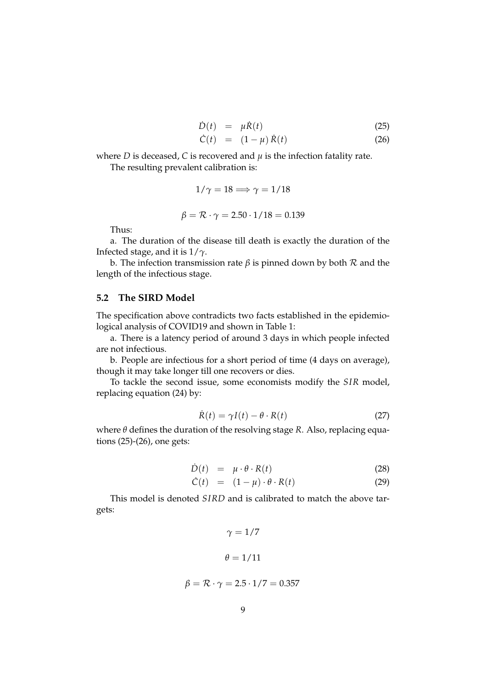$$
\dot{D}(t) = \mu \dot{R}(t) \tag{25}
$$

$$
\dot{C}(t) = (1 - \mu) \dot{R}(t) \tag{26}
$$

where *D* is deceased, *C* is recovered and  $\mu$  is the infection fatality rate.

The resulting prevalent calibration is:

$$
1/\gamma=18\Longrightarrow \gamma=1/18
$$

$$
\beta = \mathcal{R} \cdot \gamma = 2.50 \cdot 1/18 = 0.139
$$

Thus:

a. The duration of the disease till death is exactly the duration of the Infected stage, and it is 1/*γ*.

b. The infection transmission rate *β* is pinned down by both R and the length of the infectious stage.

#### **5.2 The SIRD Model**

The specification above contradicts two facts established in the epidemiological analysis of COVID19 and shown in Table 1:

a. There is a latency period of around 3 days in which people infected are not infectious.

b. People are infectious for a short period of time (4 days on average), though it may take longer till one recovers or dies.

To tackle the second issue, some economists modify the *SIR* model, replacing equation (24) by:

$$
\dot{R}(t) = \gamma I(t) - \theta \cdot R(t) \tag{27}
$$

where *θ* defines the duration of the resolving stage *R*. Also, replacing equations (25)-(26), one gets:

$$
\dot{D}(t) = \mu \cdot \theta \cdot R(t) \tag{28}
$$

$$
\dot{C}(t) = (1 - \mu) \cdot \theta \cdot R(t) \tag{29}
$$

This model is denoted *SIRD* and is calibrated to match the above targets:

$$
\gamma = 1/7
$$

$$
\theta = 1/11
$$

$$
\beta = \mathcal{R} \cdot \gamma = 2.5 \cdot 1/7 = 0.357
$$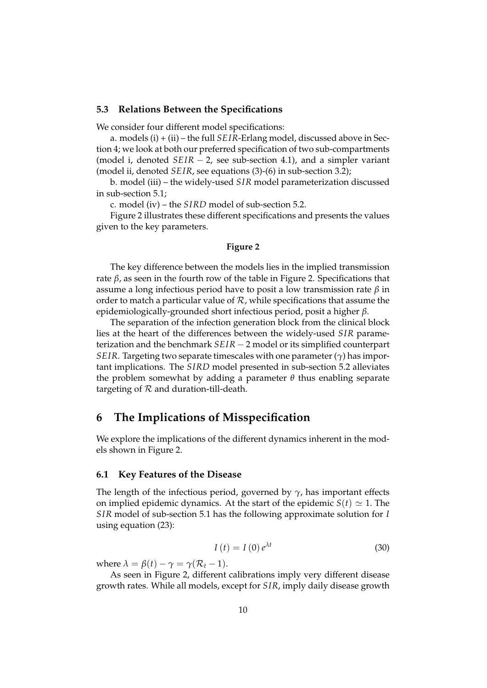#### **5.3 Relations Between the Specifications**

We consider four different model specifications:

a. models (i) + (ii) – the full *SEIR*-Erlang model, discussed above in Section 4; we look at both our preferred specification of two sub-compartments (model i, denoted  $SEIR - 2$ , see sub-section 4.1), and a simpler variant (model ii, denoted *SEIR*, see equations (3)-(6) in sub-section 3.2);

b. model (iii) – the widely-used *SIR* model parameterization discussed in sub-section 5.1;

c. model (iv) – the *SIRD* model of sub-section 5.2.

Figure 2 illustrates these different specifications and presents the values given to the key parameters.

#### **Figure 2**

The key difference between the models lies in the implied transmission rate  $β$ , as seen in the fourth row of the table in Figure 2. Specifications that assume a long infectious period have to posit a low transmission rate *β* in order to match a particular value of  $R$ , while specifications that assume the epidemiologically-grounded short infectious period, posit a higher *β*.

The separation of the infection generation block from the clinical block lies at the heart of the differences between the widely-used *SIR* parameterization and the benchmark *SEIR* – 2 model or its simplified counterpart *SEIR*. Targeting two separate timescales with one parameter (*γ*) has important implications. The *SIRD* model presented in sub-section 5.2 alleviates the problem somewhat by adding a parameter *θ* thus enabling separate targeting of  $R$  and duration-till-death.

## **6 The Implications of Misspecification**

We explore the implications of the different dynamics inherent in the models shown in Figure 2.

#### **6.1 Key Features of the Disease**

The length of the infectious period, governed by  $\gamma$ , has important effects on implied epidemic dynamics. At the start of the epidemic  $S(t) \simeq 1$ . The *SIR* model of sub-section 5.1 has the following approximate solution for *I* using equation (23):

$$
I\left(t\right) = I\left(0\right)e^{\lambda t} \tag{30}
$$

where  $\lambda = \beta(t) - \gamma = \gamma(\mathcal{R}_t - 1)$ .

As seen in Figure 2, different calibrations imply very different disease growth rates. While all models, except for *SIR*, imply daily disease growth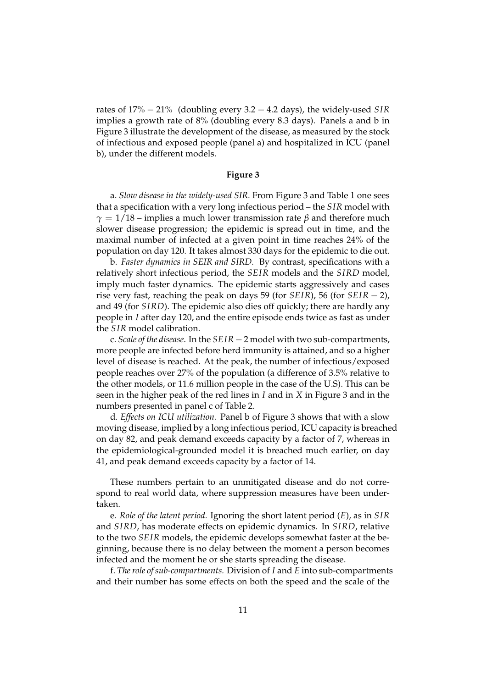rates of 17% 21% (doubling every 3.2 4.2 days), the widely-used *SIR* implies a growth rate of 8% (doubling every 8.3 days). Panels a and b in Figure 3 illustrate the development of the disease, as measured by the stock of infectious and exposed people (panel a) and hospitalized in ICU (panel b), under the different models.

#### **Figure 3**

a. *Slow disease in the widely-used SIR.* From Figure 3 and Table 1 one sees that a specification with a very long infectious period – the *SIR* model with *γ* = 1/18 – implies a much lower transmission rate  $β$  and therefore much slower disease progression; the epidemic is spread out in time, and the maximal number of infected at a given point in time reaches 24% of the population on day 120. It takes almost 330 days for the epidemic to die out.

b. *Faster dynamics in SEIR and SIRD.* By contrast, specifications with a relatively short infectious period, the *SEIR* models and the *SIRD* model, imply much faster dynamics. The epidemic starts aggressively and cases rise very fast, reaching the peak on days 59 (for *SEIR*), 56 (for *SEIR*  $-$  2), and 49 (for *SIRD*). The epidemic also dies off quickly; there are hardly any people in *I* after day 120, and the entire episode ends twice as fast as under the *SIR* model calibration.

c. *Scale of the disease*. In the *SEIR* 2 model with two sub-compartments, more people are infected before herd immunity is attained, and so a higher level of disease is reached. At the peak, the number of infectious/exposed people reaches over 27% of the population (a difference of 3.5% relative to the other models, or 11.6 million people in the case of the U.S). This can be seen in the higher peak of the red lines in *I* and in *X* in Figure 3 and in the numbers presented in panel c of Table 2.

d*. Effects on ICU utilization.* Panel b of Figure 3 shows that with a slow moving disease, implied by a long infectious period, ICU capacity is breached on day 82, and peak demand exceeds capacity by a factor of 7, whereas in the epidemiological-grounded model it is breached much earlier, on day 41, and peak demand exceeds capacity by a factor of 14.

These numbers pertain to an unmitigated disease and do not correspond to real world data, where suppression measures have been undertaken.

e. *Role of the latent period.* Ignoring the short latent period (*E*), as in *SIR* and *SIRD*, has moderate effects on epidemic dynamics. In *SIRD*, relative to the two *SEIR* models, the epidemic develops somewhat faster at the beginning, because there is no delay between the moment a person becomes infected and the moment he or she starts spreading the disease.

f. *The role of sub-compartments.* Division of *I* and *E* into sub-compartments and their number has some effects on both the speed and the scale of the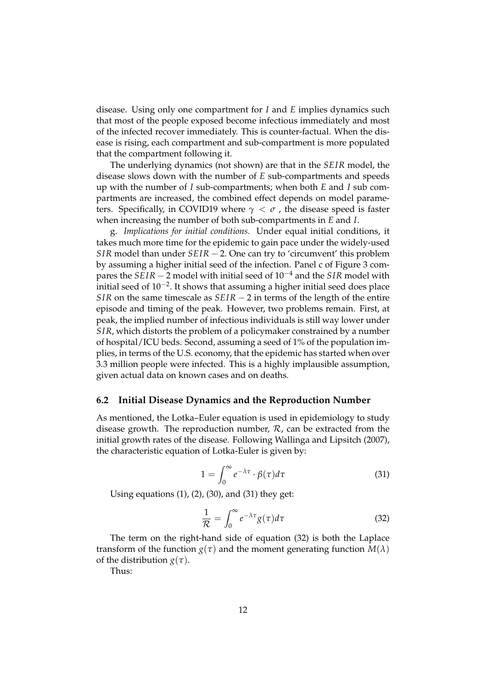disease. Using only one compartment for *I* and *E* implies dynamics such that most of the people exposed become infectious immediately and most of the infected recover immediately. This is counter-factual. When the disease is rising, each compartment and sub-compartment is more populated that the compartment following it.

The underlying dynamics (not shown) are that in the *SEIR* model, the disease slows down with the number of *E* sub-compartments and speeds up with the number of *I* sub-compartments; when both *E* and *I* sub compartments are increased, the combined effect depends on model parameters. Specifically, in COVID19 where  $\gamma < \sigma$ , the disease speed is faster when increasing the number of both sub-compartments in *E* and *I*.

g. *Implications for initial conditions.* Under equal initial conditions, it takes much more time for the epidemic to gain pace under the widely-used *SIR* model than under  $SEIR - 2$ . One can try to 'circumvent' this problem by assuming a higher initial seed of the infection. Panel c of Figure 3 compares the  $SEIR - 2$  model with initial seed of  $10^{-4}$  and the *SIR* model with initial seed of  $10^{-2}$ . It shows that assuming a higher initial seed does place *SIR* on the same timescale as  $SEIR - 2$  in terms of the length of the entire episode and timing of the peak. However, two problems remain. First, at peak, the implied number of infectious individuals is still way lower under *SIR*, which distorts the problem of a policymaker constrained by a number of hospital/ICU beds. Second, assuming a seed of 1% of the population implies, in terms of the U.S. economy, that the epidemic has started when over 3.3 million people were infected. This is a highly implausible assumption, given actual data on known cases and on deaths.

#### **6.2 Initial Disease Dynamics and the Reproduction Number**

As mentioned, the Lotka–Euler equation is used in epidemiology to study disease growth. The reproduction number,  $\mathcal{R}$ , can be extracted from the initial growth rates of the disease. Following Wallinga and Lipsitch (2007), the characteristic equation of Lotka-Euler is given by:

$$
1 = \int_0^\infty e^{-\lambda \tau} \cdot \beta(\tau) d\tau \tag{31}
$$

Using equations  $(1)$ ,  $(2)$ ,  $(30)$ , and  $(31)$  they get:

$$
\frac{1}{\mathcal{R}} = \int_0^\infty e^{-\lambda \tau} g(\tau) d\tau \tag{32}
$$

The term on the right-hand side of equation (32) is both the Laplace transform of the function  $g(\tau)$  and the moment generating function  $M(\lambda)$ of the distribution *g*(*τ*).

Thus: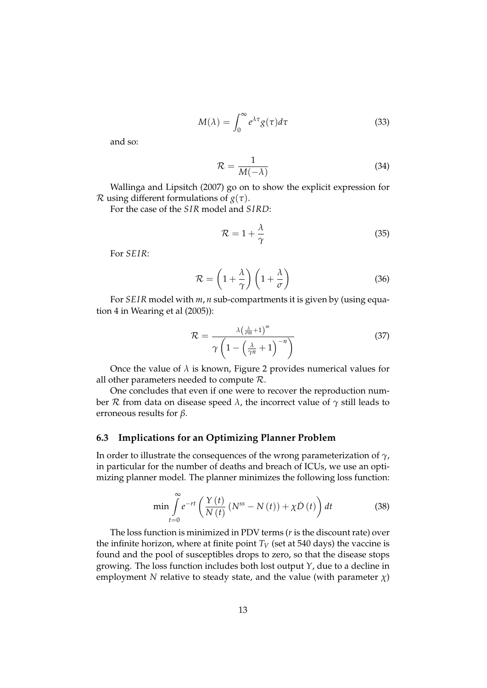$$
M(\lambda) = \int_0^\infty e^{\lambda \tau} g(\tau) d\tau \tag{33}
$$

and so:

$$
\mathcal{R} = \frac{1}{M(-\lambda)}\tag{34}
$$

Wallinga and Lipsitch (2007) go on to show the explicit expression for R using different formulations of *g*(*τ*).

For the case of the *SIR* model and *SIRD*:

$$
\mathcal{R} = 1 + \frac{\lambda}{\gamma} \tag{35}
$$

For *SEIR*:

$$
\mathcal{R} = \left(1 + \frac{\lambda}{\gamma}\right) \left(1 + \frac{\lambda}{\sigma}\right) \tag{36}
$$

For *SEIR* model with *m*, *n* sub-compartments it is given by (using equation 4 in Wearing et al (2005)):

$$
\mathcal{R} = \frac{\lambda \left(\frac{\lambda}{\sigma m} + 1\right)^m}{\gamma \left(1 - \left(\frac{\lambda}{\gamma n} + 1\right)^{-n}\right)}
$$
(37)

Once the value of  $\lambda$  is known, Figure 2 provides numerical values for all other parameters needed to compute R.

One concludes that even if one were to recover the reproduction number R from data on disease speed  $λ$ , the incorrect value of  $γ$  still leads to erroneous results for *β*.

#### **6.3 Implications for an Optimizing Planner Problem**

In order to illustrate the consequences of the wrong parameterization of *γ*, in particular for the number of deaths and breach of ICUs, we use an optimizing planner model. The planner minimizes the following loss function:

$$
\min \int_{t=0}^{\infty} e^{-rt} \left( \frac{Y(t)}{N(t)} \left( N^{ss} - N(t) \right) + \chi \dot{D}(t) \right) dt \tag{38}
$$

The loss function is minimized in PDV terms (*r* is the discount rate) over the infinite horizon, where at finite point  $T_V$  (set at 540 days) the vaccine is found and the pool of susceptibles drops to zero, so that the disease stops growing. The loss function includes both lost output *Y*, due to a decline in employment *N* relative to steady state, and the value (with parameter  $\chi$ )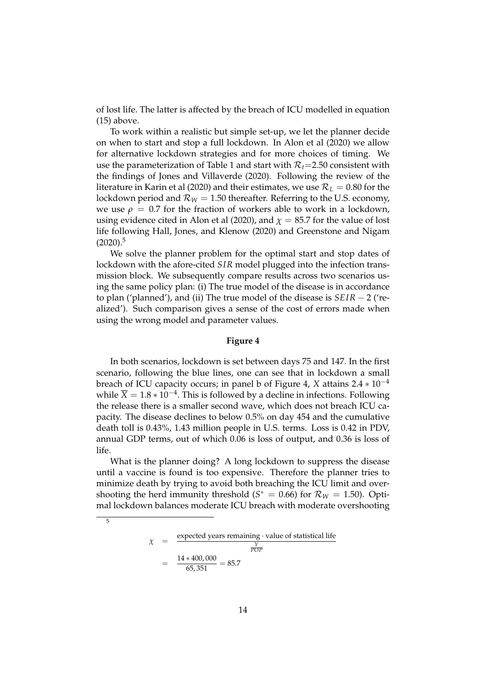of lost life. The latter is affected by the breach of ICU modelled in equation (15) above.

To work within a realistic but simple set-up, we let the planner decide on when to start and stop a full lockdown. In Alon et al (2020) we allow for alternative lockdown strategies and for more choices of timing. We use the parameterization of Table 1 and start with  $\mathcal{R}_t$ =2.50 consistent with the findings of Jones and Villaverde (2020). Following the review of the literature in Karin et al (2020) and their estimates, we use R*<sup>L</sup>* = 0.80 for the lockdown period and  $\mathcal{R}_W = 1.50$  thereafter. Referring to the U.S. economy, we use  $\rho = 0.7$  for the fraction of workers able to work in a lockdown, using evidence cited in Alon et al (2020), and  $\chi = 85.7$  for the value of lost life following Hall, Jones, and Klenow (2020) and Greenstone and Nigam  $(2020).5$ 

We solve the planner problem for the optimal start and stop dates of lockdown with the afore-cited *SIR* model plugged into the infection transmission block. We subsequently compare results across two scenarios using the same policy plan: (i) The true model of the disease is in accordance to plan ('planned'), and (ii) The true model of the disease is  $SEIR - 2$  ('realized'). Such comparison gives a sense of the cost of errors made when using the wrong model and parameter values.

#### **Figure 4**

In both scenarios, lockdown is set between days 75 and 147. In the first scenario, following the blue lines, one can see that in lockdown a small breach of ICU capacity occurs; in panel b of Figure 4, *X* attains  $2.4 * 10^{-4}$ while  $\overline{X} = 1.8 \times 10^{-4}$ . This is followed by a decline in infections. Following the release there is a smaller second wave, which does not breach ICU capacity. The disease declines to below 0.5% on day 454 and the cumulative death toll is 0.43%, 1.43 million people in U.S. terms. Loss is 0.42 in PDV, annual GDP terms, out of which 0.06 is loss of output, and 0.36 is loss of life.

What is the planner doing? A long lockdown to suppress the disease until a vaccine is found is too expensive. Therefore the planner tries to minimize death by trying to avoid both breaching the ICU limit and overshooting the herd immunity threshold  $(S^* = 0.66)$  for  $\mathcal{R}_W = 1.50$ . Optimal lockdown balances moderate ICU breach with moderate overshooting

> $\chi$  =  $\frac{expected \text{ years remaining} \cdot \text{value of statistical life}}{Y}$ *Y POP*  $=\frac{14*400,000}{65,351} = 85.7$

 $\overline{5}$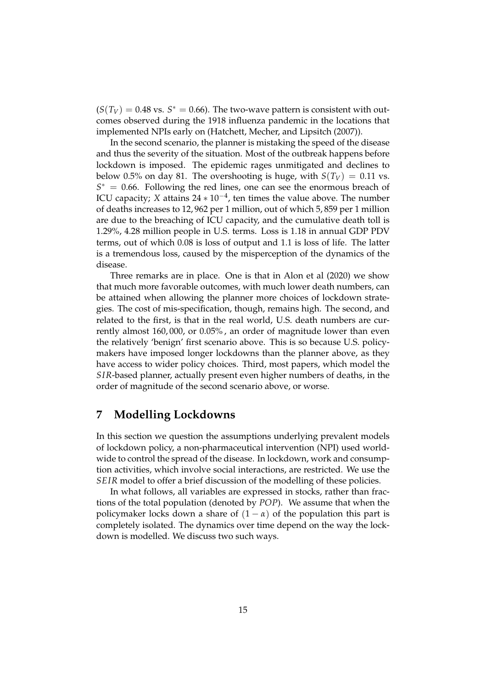$(S(T_V) = 0.48 \text{ vs. } S^* = 0.66)$ . The two-wave pattern is consistent with outcomes observed during the 1918 influenza pandemic in the locations that implemented NPIs early on (Hatchett, Mecher, and Lipsitch (2007)).

In the second scenario, the planner is mistaking the speed of the disease and thus the severity of the situation. Most of the outbreak happens before lockdown is imposed. The epidemic rages unmitigated and declines to below 0.5% on day 81. The overshooting is huge, with  $S(T_V) = 0.11$  vs.  $S^* = 0.66$ . Following the red lines, one can see the enormous breach of ICU capacity; *X* attains  $24 \times 10^{-4}$ , ten times the value above. The number of deaths increases to 12, 962 per 1 million, out of which 5, 859 per 1 million are due to the breaching of ICU capacity, and the cumulative death toll is 1.29%, 4.28 million people in U.S. terms. Loss is 1.18 in annual GDP PDV terms, out of which 0.08 is loss of output and 1.1 is loss of life. The latter is a tremendous loss, caused by the misperception of the dynamics of the disease.

Three remarks are in place. One is that in Alon et al (2020) we show that much more favorable outcomes, with much lower death numbers, can be attained when allowing the planner more choices of lockdown strategies. The cost of mis-specification, though, remains high. The second, and related to the first, is that in the real world, U.S. death numbers are currently almost 160, 000, or 0.05% , an order of magnitude lower than even the relatively 'benign' first scenario above. This is so because U.S. policymakers have imposed longer lockdowns than the planner above, as they have access to wider policy choices. Third, most papers, which model the *SIR*-based planner, actually present even higher numbers of deaths, in the order of magnitude of the second scenario above, or worse.

## **7 Modelling Lockdowns**

In this section we question the assumptions underlying prevalent models of lockdown policy, a non-pharmaceutical intervention (NPI) used worldwide to control the spread of the disease. In lockdown, work and consumption activities, which involve social interactions, are restricted. We use the *SEIR* model to offer a brief discussion of the modelling of these policies.

In what follows, all variables are expressed in stocks, rather than fractions of the total population (denoted by *POP*). We assume that when the policymaker locks down a share of  $(1 - \alpha)$  of the population this part is completely isolated. The dynamics over time depend on the way the lockdown is modelled. We discuss two such ways.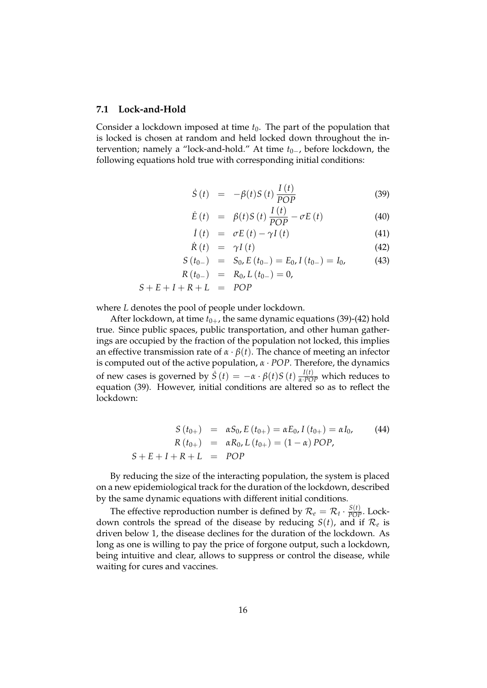#### **7.1 Lock-and-Hold**

Consider a lockdown imposed at time  $t_0$ . The part of the population that is locked is chosen at random and held locked down throughout the intervention; namely a "lock-and-hold." At time  $t_{0-}$ , before lockdown, the following equations hold true with corresponding initial conditions:

$$
\dot{S}(t) = -\beta(t)S(t)\frac{I(t)}{POP}
$$
\n(39)

$$
\dot{E}(t) = \beta(t)S(t)\frac{I(t)}{POP} - \sigma E(t)
$$
\n(40)

$$
\dot{I}(t) = \sigma E(t) - \gamma I(t) \tag{41}
$$

$$
\dot{R}(t) = \gamma I(t) \tag{42}
$$

$$
S(t_{0-}) = S_0, E(t_{0-}) = E_0, I(t_{0-}) = I_0,
$$
 (43)

$$
R(t_{0-}) = R_0, L(t_{0-}) = 0,
$$

$$
S + E + I + R + L = POP
$$

where *L* denotes the pool of people under lockdown.

After lockdown, at time  $t_{0+}$ , the same dynamic equations (39)-(42) hold true. Since public spaces, public transportation, and other human gatherings are occupied by the fraction of the population not locked, this implies an effective transmission rate of  $\alpha \cdot \beta(t)$ . The chance of meeting an infector is computed out of the active population, *α POP*. Therefore, the dynamics of new cases is governed by  $\dot{S}(t) = -\alpha \cdot \beta(t)S(t) \frac{I(t)}{\alpha \cdot PQP}$  which reduces to equation (39). However, initial conditions are altered so as to reflect the lockdown:

$$
S(t_{0+}) = \alpha S_0, E(t_{0+}) = \alpha E_0, I(t_{0+}) = \alpha I_0,
$$
  
\n
$$
R(t_{0+}) = \alpha R_0, L(t_{0+}) = (1 - \alpha) POP,
$$
  
\n
$$
S + E + I + R + L = POP
$$
 (44)

By reducing the size of the interacting population, the system is placed on a new epidemiological track for the duration of the lockdown, described by the same dynamic equations with different initial conditions.

The effective reproduction number is defined by  $\mathcal{R}_e = \mathcal{R}_t \cdot \frac{S(t)}{POP}$ . Lockdown controls the spread of the disease by reducing  $S(t)$ , and if  $\mathcal{R}_e$  is driven below 1, the disease declines for the duration of the lockdown. As long as one is willing to pay the price of forgone output, such a lockdown, being intuitive and clear, allows to suppress or control the disease, while waiting for cures and vaccines.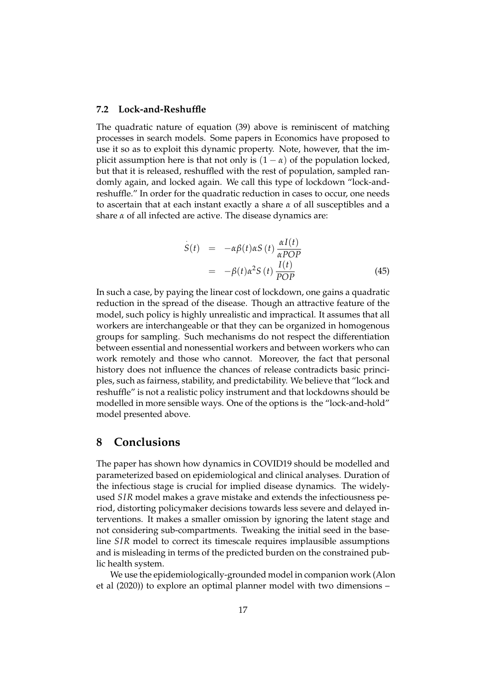#### **7.2 Lock-and-Reshuffle**

The quadratic nature of equation (39) above is reminiscent of matching processes in search models. Some papers in Economics have proposed to use it so as to exploit this dynamic property. Note, however, that the implicit assumption here is that not only is  $(1 - \alpha)$  of the population locked, but that it is released, reshuffled with the rest of population, sampled randomly again, and locked again. We call this type of lockdown "lock-andreshuffle." In order for the quadratic reduction in cases to occur, one needs to ascertain that at each instant exactly a share *α* of all susceptibles and a share *α* of all infected are active. The disease dynamics are:

$$
\dot{S}(t) = -\alpha \beta(t) \alpha S(t) \frac{\alpha I(t)}{\alpha POP} \n= -\beta(t) \alpha^2 S(t) \frac{I(t)}{POP}
$$
\n(45)

In such a case, by paying the linear cost of lockdown, one gains a quadratic reduction in the spread of the disease. Though an attractive feature of the model, such policy is highly unrealistic and impractical. It assumes that all workers are interchangeable or that they can be organized in homogenous groups for sampling. Such mechanisms do not respect the differentiation between essential and nonessential workers and between workers who can work remotely and those who cannot. Moreover, the fact that personal history does not influence the chances of release contradicts basic principles, such as fairness, stability, and predictability. We believe that "lock and reshuffle" is not a realistic policy instrument and that lockdowns should be modelled in more sensible ways. One of the options is the "lock-and-hold" model presented above.

## **8 Conclusions**

The paper has shown how dynamics in COVID19 should be modelled and parameterized based on epidemiological and clinical analyses. Duration of the infectious stage is crucial for implied disease dynamics. The widelyused *SIR* model makes a grave mistake and extends the infectiousness period, distorting policymaker decisions towards less severe and delayed interventions. It makes a smaller omission by ignoring the latent stage and not considering sub-compartments. Tweaking the initial seed in the baseline *SIR* model to correct its timescale requires implausible assumptions and is misleading in terms of the predicted burden on the constrained public health system.

We use the epidemiologically-grounded model in companion work (Alon et al (2020)) to explore an optimal planner model with two dimensions –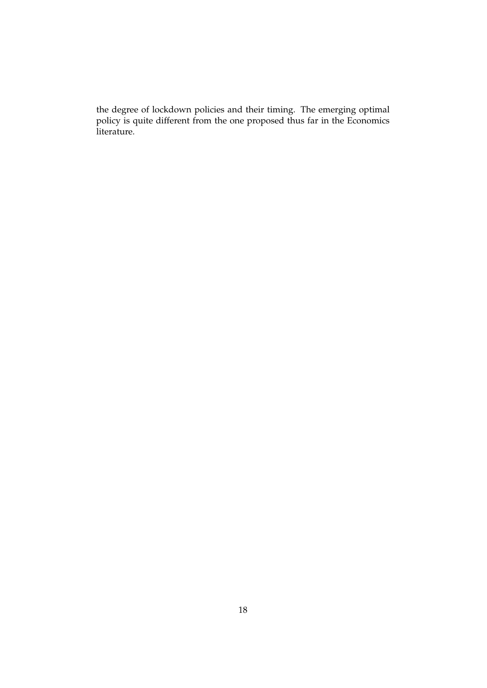the degree of lockdown policies and their timing. The emerging optimal policy is quite different from the one proposed thus far in the Economics literature.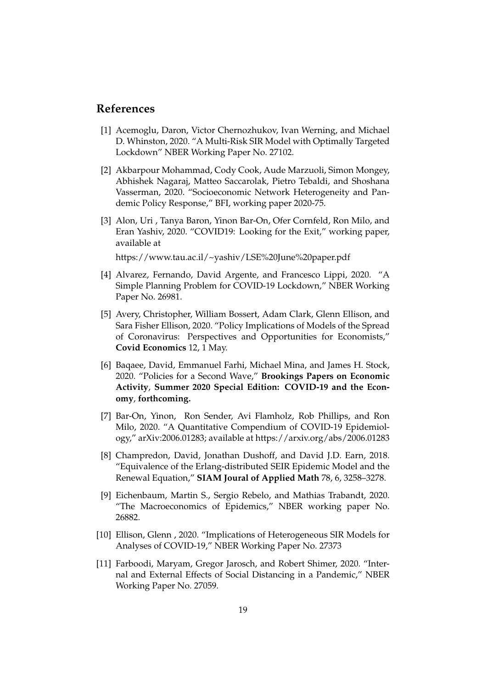### **References**

- [1] Acemoglu, Daron, Victor Chernozhukov, Ivan Werning, and Michael D. Whinston, 2020. "A Multi-Risk SIR Model with Optimally Targeted Lockdown" NBER Working Paper No. 27102.
- [2] Akbarpour Mohammad, Cody Cook, Aude Marzuoli, Simon Mongey, Abhishek Nagaraj, Matteo Saccarolak, Pietro Tebaldi, and Shoshana Vasserman, 2020. "Socioeconomic Network Heterogeneity and Pandemic Policy Response," BFI, working paper 2020-75.
- [3] Alon, Uri , Tanya Baron, Yinon Bar-On, Ofer Cornfeld, Ron Milo, and Eran Yashiv, 2020. "COVID19: Looking for the Exit," working paper, available at

https://www.tau.ac.il/~yashiv/LSE%20June%20paper.pdf

- [4] Alvarez, Fernando, David Argente, and Francesco Lippi, 2020. "A Simple Planning Problem for COVID-19 Lockdown," NBER Working Paper No. 26981.
- [5] Avery, Christopher, William Bossert, Adam Clark, Glenn Ellison, and Sara Fisher Ellison, 2020. "Policy Implications of Models of the Spread of Coronavirus: Perspectives and Opportunities for Economists," **Covid Economics** 12, 1 May.
- [6] Baqaee, David, Emmanuel Farhi, Michael Mina, and James H. Stock, 2020. "Policies for a Second Wave," **Brookings Papers on Economic Activity**, **Summer 2020 Special Edition: COVID-19 and the Economy**, **forthcoming.**
- [7] Bar-On, Yinon, Ron Sender, Avi Flamholz, Rob Phillips, and Ron Milo, 2020. "A Quantitative Compendium of COVID-19 Epidemiology," arXiv:2006.01283; available at https://arxiv.org/abs/2006.01283
- [8] Champredon, David, Jonathan Dushoff, and David J.D. Earn, 2018. "Equivalence of the Erlang-distributed SEIR Epidemic Model and the Renewal Equation," **SIAM Joural of Applied Math** 78, 6, 3258–3278.
- [9] Eichenbaum, Martin S., Sergio Rebelo, and Mathias Trabandt, 2020. "The Macroeconomics of Epidemics," NBER working paper No. 26882.
- [10] Ellison, Glenn, 2020. "Implications of Heterogeneous SIR Models for Analyses of COVID-19," NBER Working Paper No. 27373
- [11] Farboodi, Maryam, Gregor Jarosch, and Robert Shimer, 2020. "Internal and External Effects of Social Distancing in a Pandemic," NBER Working Paper No. 27059.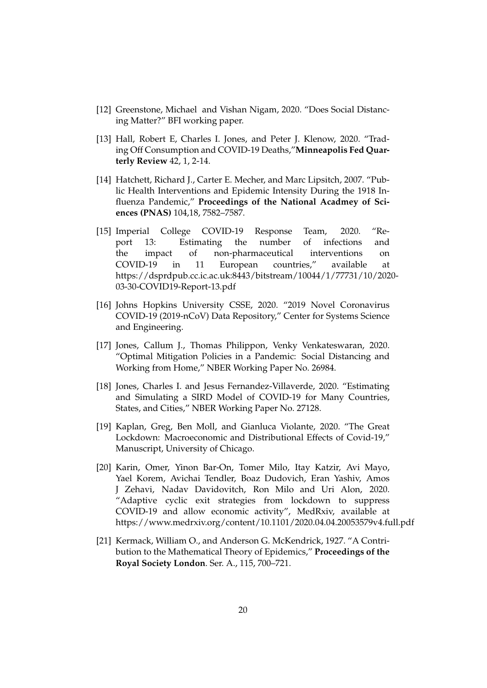- [12] Greenstone, Michael and Vishan Nigam, 2020. "Does Social Distancing Matter?" BFI working paper.
- [13] Hall, Robert E, Charles I. Jones, and Peter J. Klenow, 2020. "Trading Off Consumption and COVID-19 Deaths,"**Minneapolis Fed Quarterly Review** 42, 1, 2-14.
- [14] Hatchett, Richard J., Carter E. Mecher, and Marc Lipsitch, 2007. "Public Health Interventions and Epidemic Intensity During the 1918 Influenza Pandemic," **Proceedings of the National Acadmey of Sciences (PNAS)** 104,18, 7582–7587.
- [15] Imperial College COVID-19 Response Team, 2020. "Report 13: Estimating the number of infections and the impact of non-pharmaceutical interventions on COVID-19 in 11 European countries," available at https://dsprdpub.cc.ic.ac.uk:8443/bitstream/10044/1/77731/10/2020- 03-30-COVID19-Report-13.pdf
- [16] Johns Hopkins University CSSE, 2020. "2019 Novel Coronavirus COVID-19 (2019-nCoV) Data Repository," Center for Systems Science and Engineering.
- [17] Jones, Callum J., Thomas Philippon, Venky Venkateswaran, 2020. "Optimal Mitigation Policies in a Pandemic: Social Distancing and Working from Home," NBER Working Paper No. 26984.
- [18] Jones, Charles I. and Jesus Fernandez-Villaverde, 2020. "Estimating and Simulating a SIRD Model of COVID-19 for Many Countries, States, and Cities," NBER Working Paper No. 27128.
- [19] Kaplan, Greg, Ben Moll, and Gianluca Violante, 2020. "The Great Lockdown: Macroeconomic and Distributional Effects of Covid-19," Manuscript, University of Chicago.
- [20] Karin, Omer, Yinon Bar-On, Tomer Milo, Itay Katzir, Avi Mayo, Yael Korem, Avichai Tendler, Boaz Dudovich, Eran Yashiv, Amos J Zehavi, Nadav Davidovitch, Ron Milo and Uri Alon, 2020. "Adaptive cyclic exit strategies from lockdown to suppress COVID-19 and allow economic activity", MedRxiv, available at https://www.medrxiv.org/content/10.1101/2020.04.04.20053579v4.full.pdf
- [21] Kermack, William O., and Anderson G. McKendrick, 1927. "A Contribution to the Mathematical Theory of Epidemics," **Proceedings of the Royal Society London**. Ser. A., 115, 700–721.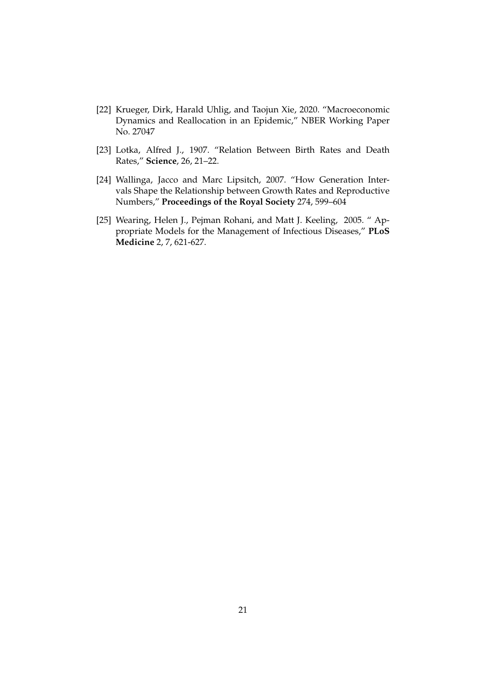- [22] Krueger, Dirk, Harald Uhlig, and Taojun Xie, 2020. "Macroeconomic Dynamics and Reallocation in an Epidemic," NBER Working Paper No. 27047
- [23] Lotka, Alfred J., 1907. "Relation Between Birth Rates and Death Rates," **Science**, 26, 21–22.
- [24] Wallinga, Jacco and Marc Lipsitch, 2007. "How Generation Intervals Shape the Relationship between Growth Rates and Reproductive Numbers," **Proceedings of the Royal Society** 274, 599–604
- [25] Wearing, Helen J., Pejman Rohani, and Matt J. Keeling, 2005. " Appropriate Models for the Management of Infectious Diseases," **PLoS Medicine** 2, 7, 621-627.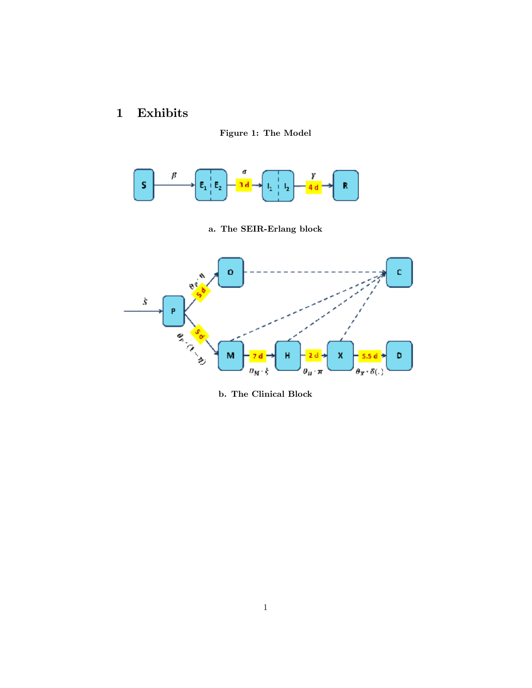# 1 Exhibits





a. The SEIR-Erlang block



b. The Clinical Block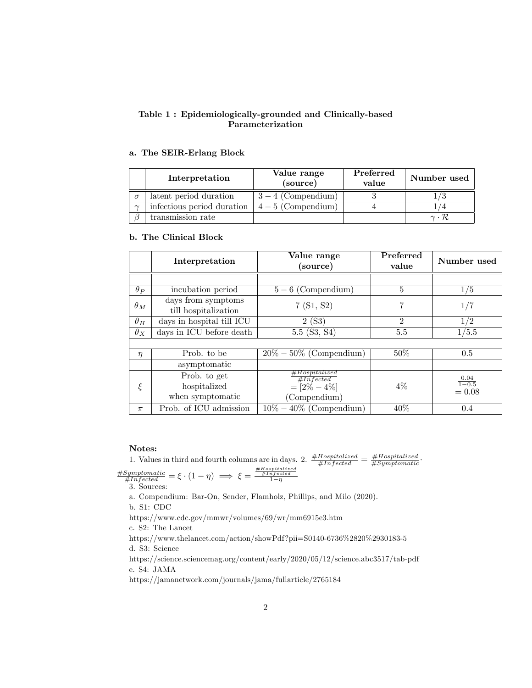#### Table 1 : Epidemiologically-grounded and Clinically-based Parameterization

#### a. The SEIR-Erlang Block

|          | Interpretation             | Value range<br>(source)  | Preferred<br>value | Number used                |
|----------|----------------------------|--------------------------|--------------------|----------------------------|
| $\sigma$ | latent period duration     | $3-4$ (Compendium)       |                    |                            |
| $\sim$   | infectious period duration | $\vert 4-5$ (Compendium) |                    |                            |
|          | transmission rate          |                          |                    | $\gamma \cdot \mathcal{R}$ |

#### b. The Clinical Block

|            | Interpretation                                   | Value range<br>(source)                                       | Preferred<br>value | Number used                      |
|------------|--------------------------------------------------|---------------------------------------------------------------|--------------------|----------------------------------|
|            |                                                  |                                                               |                    |                                  |
| $\theta_P$ | incubation period                                | $5-6$ (Compendium)                                            | 5                  | 1/5                              |
| $\theta_M$ | days from symptoms<br>till hospitalization       | 7(S1, S2)                                                     | 7                  | 1/7                              |
| $\theta_H$ | days in hospital till ICU                        | 2(S3)                                                         | $\overline{2}$     | 1/2                              |
| $\theta_X$ | days in ICU before death                         | $5.5$ (S3, S4)                                                | 5.5                | 1/5.5                            |
|            |                                                  |                                                               |                    |                                  |
| $\eta$     | Prob. to be                                      | $20\% - 50\%$ (Compendium)                                    | $50\%$             | 0.5                              |
|            | asymptomatic                                     |                                                               |                    |                                  |
| $\xi$      | Prob. to get<br>hospitalized<br>when symptomatic | #Hospitalized<br>#Infected<br>$= [2\% - 4\%]$<br>(Compendium) | $4\%$              | $\frac{0.04}{1-0.5}$<br>$= 0.08$ |
| $\pi$      | Prob. of ICU admission                           | $10\% - 40\%$ (Compendium)                                    | 40%                | 0.4                              |

#### Notes:

1. Values in third and fourth columns are in days. 2.  $\frac{\# Hospitalized}{\#Infected} = \frac{\# Hospitalized}{\#Symbolatic}$  $\frac{\text{\# Symptomatic}}{\text{\# Infected}} = \xi \cdot (1 - \eta) \implies \xi = \frac{\frac{\text{\# Hopptalized}}{\text{\# Infected}}}{1 - \eta}$ 

3. Sources:

a. Compendium: Bar-On, Sender, Flamholz, Phillips, and Milo (2020).

b. S1: CDC

https://www.cdc.gov/mmwr/volumes/69/wr/mm6915e3.htm

c. S2: The Lancet

https://www.thelancet.com/action/showPdf?pii=S0140-6736%2820%2930183-5 d. S3: Science

https://science.sciencemag.org/content/early/2020/05/12/science.abc3517/tab-pdf e. S4: JAMA

https://jamanetwork.com/journals/jama/fullarticle/2765184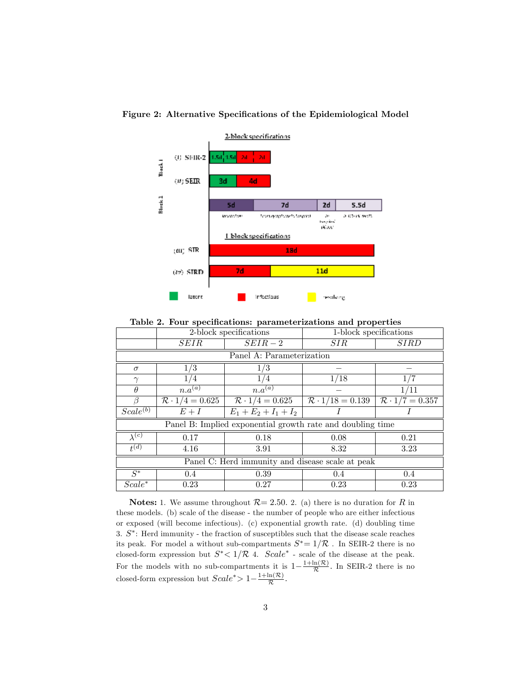

Figure 2: Alternative Specifications of the Epidemiological Model

Table 2. Four specifications: parameterizations and properties

|                                                            | 2-block specifications |                                 | 1-block specifications           |                       |  |  |  |  |
|------------------------------------------------------------|------------------------|---------------------------------|----------------------------------|-----------------------|--|--|--|--|
|                                                            | SEIR                   | $SEIR-2$                        | <i>SIR</i>                       | <b>SIRD</b>           |  |  |  |  |
| Panel A: Parameterization                                  |                        |                                 |                                  |                       |  |  |  |  |
| $\sigma$                                                   | 1/3                    | $1/3\,$                         |                                  |                       |  |  |  |  |
| $\gamma$                                                   | 1/4                    | 1/4                             | 1/18                             |                       |  |  |  |  |
| $\theta$                                                   | $n.a^{(a)}$            | $n.a^{(a)}$                     |                                  | 1/11                  |  |  |  |  |
| ß                                                          | $R \cdot 1/4 = 0.625$  | $\mathcal{R} \cdot 1/4 = 0.625$ | $\mathcal{R} \cdot 1/18 = 0.139$ | $R \cdot 1/7 = 0.357$ |  |  |  |  |
| Scale <sup>(b)</sup>                                       | $E+I$                  | $E_1 + E_2 + I_1 + I_2$         |                                  |                       |  |  |  |  |
| Panel B: Implied exponential growth rate and doubling time |                        |                                 |                                  |                       |  |  |  |  |
| $\lambda^{(c)}$                                            | 0.17                   | 0.18                            | 0.08                             | 0.21                  |  |  |  |  |
| $t^{(d)}$                                                  | 4.16                   | 3.91                            | 8.32                             | 3.23                  |  |  |  |  |
| Panel C: Herd immunity and disease scale at peak           |                        |                                 |                                  |                       |  |  |  |  |
| $S^*$                                                      | $0.4\,$                | 0.39                            | $0.4\,$                          | 0.4                   |  |  |  |  |
| $Scale^*$                                                  | 0.23                   | 0.27                            | 0.23                             | 0.23                  |  |  |  |  |

**Notes:** 1. We assume throughout  $\mathcal{R} = 2.50$ . 2. (a) there is no duration for R in these models. (b) scale of the disease - the number of people who are either infectious or exposed (will become infectious). (c) exponential growth rate. (d) doubling time 3.  $S^*$ : Herd immunity - the fraction of susceptibles such that the disease scale reaches its peak. For model a without sub-compartments  $S^* = 1/\mathcal{R}$ . In SEIR-2 there is no closed-form expression but  $S^*$  <  $1/R$  4.  $Scale^*$  - scale of the disease at the peak. For the models with no sub-compartments it is  $1-\frac{1+\ln(\mathcal{R})}{\mathcal{R}}$  $\frac{\ln(\kappa)}{\mathcal{R}}$ . In SEIR-2 there is no closed-form expression but  $Scale^* > 1 - \frac{1 + \ln(\mathcal{R})}{\mathcal{R}}$  $\frac{\ln(\kappa)}{\mathcal{R}}$ .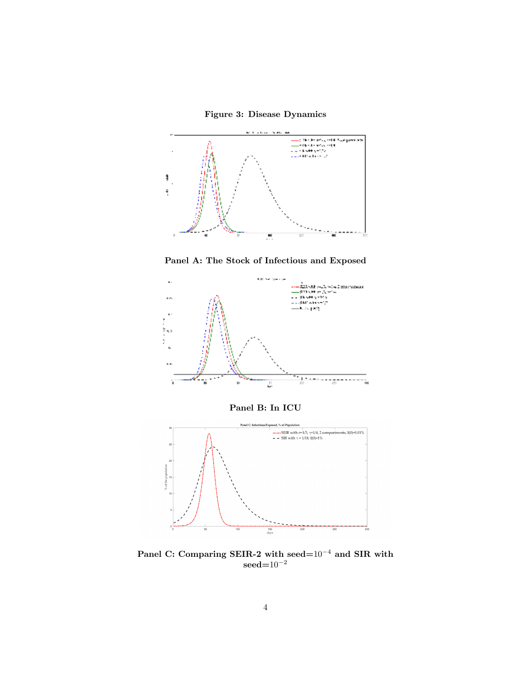



Panel A: The Stock of Infectious and Exposed



Panel B: In ICU



Panel C: Comparing SEIR-2 with seed= $10^{-4}$  and SIR with  $\mathrm{seed}{=}10^{-2}$